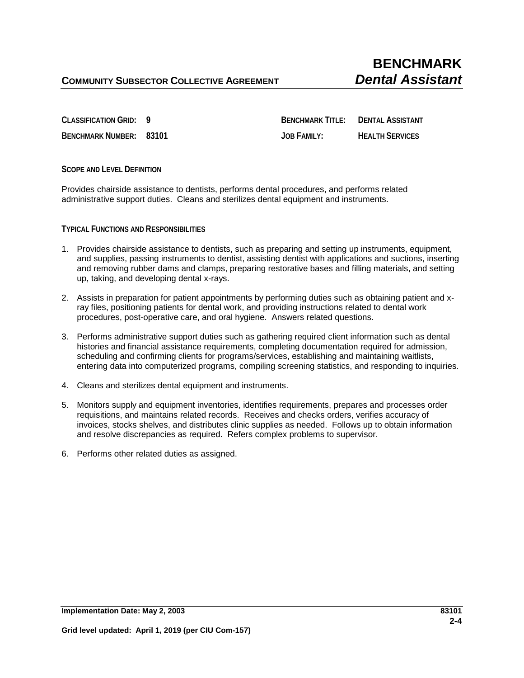**CLASSIFICATION GRID: 9 BENCHMARK TITLE: DENTAL ASSISTANT BENCHMARK NUMBER: 83101 JOB FAMILY: HEALTH SERVICES**

**SCOPE AND LEVEL DEFINITION**

Provides chairside assistance to dentists, performs dental procedures, and performs related administrative support duties. Cleans and sterilizes dental equipment and instruments.

**TYPICAL FUNCTIONS AND RESPONSIBILITIES**

- 1. Provides chairside assistance to dentists, such as preparing and setting up instruments, equipment, and supplies, passing instruments to dentist, assisting dentist with applications and suctions, inserting and removing rubber dams and clamps, preparing restorative bases and filling materials, and setting up, taking, and developing dental x-rays.
- 2. Assists in preparation for patient appointments by performing duties such as obtaining patient and xray files, positioning patients for dental work, and providing instructions related to dental work procedures, post-operative care, and oral hygiene. Answers related questions.
- 3. Performs administrative support duties such as gathering required client information such as dental histories and financial assistance requirements, completing documentation required for admission, scheduling and confirming clients for programs/services, establishing and maintaining waitlists, entering data into computerized programs, compiling screening statistics, and responding to inquiries.
- 4. Cleans and sterilizes dental equipment and instruments.
- 5. Monitors supply and equipment inventories, identifies requirements, prepares and processes order requisitions, and maintains related records. Receives and checks orders, verifies accuracy of invoices, stocks shelves, and distributes clinic supplies as needed. Follows up to obtain information and resolve discrepancies as required. Refers complex problems to supervisor.
- 6. Performs other related duties as assigned.